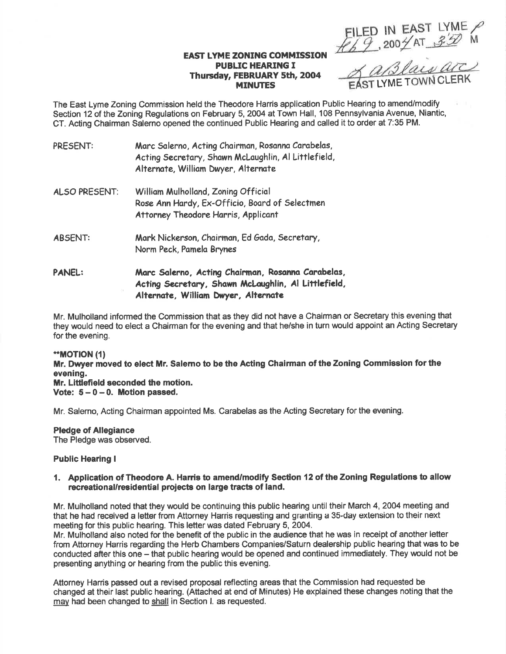EILED IN EAST LYME

# **EAST LYME ZONING COMMISSION<br>PUBLIC HEARING I** Thursday, FEBRUARY 5th, 2004

MINUTES EAST LYME TOWN CLERK

The East Lyme Zoning Commission held the Theodore Harris application Public Hearing to amend/modify Section 12 of the Zoning Regulations on February 5,2004 at Town Hall, 108 Pennsylvania Avenue, Niantic, CT. Acting Chairman Salemo opened the continued Public Hearing and called it to order at 7:35 PM.

| PRESENT:      | Marc Salerno, Acting Chairman, Rosanna Carabelas,<br>Acting Secretary, Shawn McLaughlin, Al Littlefield,<br>Alternate, William Dwyer, Alternate |
|---------------|-------------------------------------------------------------------------------------------------------------------------------------------------|
| ALSO PRESENT: | William Mulholland, Zoning Official<br>Rose Ann Hardy, Ex-Officio, Board of Selectmen<br>Attorney Theodore Harris, Applicant                    |
| ABSENT:       | Mark Nickerson, Chairman, Ed Gada, Secretary,<br>Norm Peck, Pamela Brynes                                                                       |
| <b>PANEL:</b> | Marc Salerno, Acting Chairman, Rosanna Carabelas,<br>Acting Secretary, Shawn McLaughlin, Al Littlefield,<br>Alternate, William Dwyer, Alternate |

Mr. Mulholland informed the Gommission that as they did not have a Chairman or Secretary this evening that they would need to elect a Chairman for the evening and that he/she in turn would appoint an Acting Secretary for the evening.

#### \*MOT|ON ({)

Mr. Dwyer moved to elect Mr. Salemo to be the Acting Ghairman of the Zoning Gommission forthe evening. Mr. Litdefield seconded the motion. Vote:  $5 - 0 - 0$ . Motion passed.

Mr. Salemo, Acting Chaiman appointed Ms. Carabelas as the Acting Secretary for the evening.

Pledge of Allegiance The Pledge was observed.

### Public Hearing I

### 1. Application of Theodore A. Harris to amendlmodify Section 12 of the Zoning Regulations to allow recreational/residential projects on large tracts of land.

Mr. Mulholland noted that they would be continuing this public hearing until their March 4,2004 meeting and that he had received a letter from Attorney Harris requesting and granting a 35-day extension to their next meeting for this public hearing. This letter was dated February 5, 2004.

Mr. Mulholland also noted for the benefit of the public in the audience that he was in receipt of another letter from Attorney Harris regarding the Herb Chambers Companies/Saturn dealership public hearing that was to be conducted after this one – that public hearing would be opened and continued immediately. They would not be presenting anything or hearing from the public this evening.

Attorney Harris passed out a revised proposal reflecting areas that the Commission had requested be changed at their last public hearing. (Attached at end of Minutes) He explained these changes noting that the may had been changed to shall in Section I. as requested.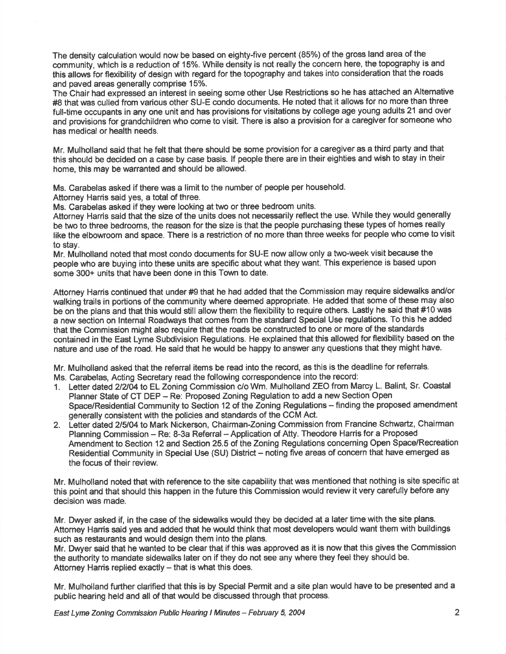The density calculation would now be based on eighty-five percent (85%) of the gross land area of the community, which is a reduction of 15%. While density is not really the concern here, the topography is and this allows for flexibility of design with regard for the topography and takes into consideration that the roads and paved areas generally comprise 15%.

The Chair had expressed an interest in seeing some other Use Restrictions so he has attached an Alternative #8 that was culled from various other SU-E condo documents. He noted that it allows for no more than three full-time occupants in any one unit and has provisions for visitations by college age young adults 21 and over and provisions for grandchildren who come to visit. There is also a provision for a caregiver for someone who has medical or health needs.

Mr. Mulholland said that he felt that there should be some provision for a caregiver as a third party and that this should be decided on a case by case basis. lf people there are in their eighties and wish to stay in their home, this may be warranted and should be allowed.

Ms. Carabelas asked if there was a limit to the number of people per household.

Attorney Harris said yes, a total of three.

Ms. Carabelas asked if they were looking at two or three bedroom units.

Attorney Harris sald that the size of the units does not necessarily reflect the use. While they would generally be two to three bedrooms, the reason for the size is that the people purchasing these types of homes really like the elbowroom and space. There is a restriction of no more than three weeks for people who come to visit to stay.

Mr. Mulholland noted that most condo documents for SU-E now allow only a two-week visit because the people who are buying into these units are specific about what they want. This experience is based upon some 300+ units that have been done in this Town to date.

Attorney Harris continued that under #9 that he had added that the Commission may require sidewalks and/or walking trails in portions of the community where deemed appropriate. He added that some of these may also be on the plans and that this would still allow them the flexibility to require others. Lastly he said that #10 was a new section on lnternal Roadways that comes from the standard Special Use regulations. To this he added that the Commission might also require that the roads be constructed to one or more of the standards contained in the East Lyme Subdivision Regulations. He explained that this allowed forflexibility based on the nature and use of the road. He said that he would be happy to answer any questions that they might have.

Mr. Mulholland asked that the referral items be read into the record, as this is the deadline for referrals. Ms. Carabelas, Acting Secretary read the following correspondence into the record:

- 1. Letter dated 2/2/04 to EL Zoning Commission c/o Wm. Mulholland ZEO from Marcy L. Balint, Sr. Coastal Planner State of CT DEP - Re: Proposed Zoning Regulation to add a new Section Open Space/Residential Community to Section 12 of the Zoning Regulations - finding the proposed amendment generally consistent with the policies and standards of the CCM Act.
- 2. Letter dated 2/5/04 to Mark Nickerson, Chairman-Zoning Commission from Francine Schwartz, Chairman Planning Commission - Re: 8-3a Referral - Application of Atty. Theodore Harris for a Proposed Amendment to Section 12 and Section 25.5 of the Zoning Regulations concerning Open Space/Recreation Residential Community in Special Use (SU) District - noting five areas of concern that have emerged as the focus of their review.

Mr. Mulholland noted that with reference to the site capability that was mentioned that nothing is site specific at this point and that should this happen in the future this Commission would review it very carefully before any decision was made.

Mr. Dwyer asked if, in the case of the sidewalks would they be decided at a later time with the site plans. Attorney Harris said yes and added that he would think that most developers would want them with buildings such as restaurants and would design them into the plans.

Mr. Dwyer said that he wanted to be clear that if this was approved as it is now that this gives the Commission the authority to mandate sidewalks later on if they do not see any where they feel they should be. Attorney Harris replied exactly  $-$  that is what this does.

Mr. Mulholland further clarified that this is by Special Permit and a site plan would have to be presented and a public hearing held and all of that would be discussed through that process.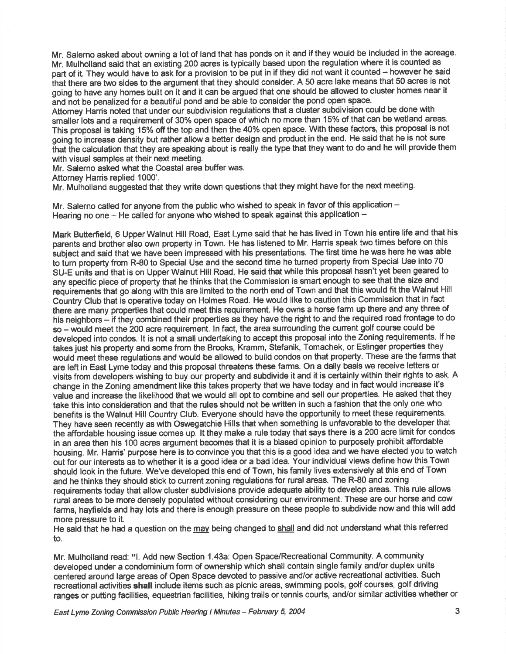Mr. Salerno asked about owning a lot of land that has ponds on it and if they would be included in the acreage. Mr. Mulholland said that an existing 200 acres is typically based upon the regulation where it is counted as part of it. They would have to ask for a provision to be put in if they did not want it counted - however he said that there are two sides to the argument that they should consider. A 50 acre lake means that 50 acres is not going to have any homes built on it and it can be argued that one should be allowed to cluster homes near it and not be penalized for a beautiful pond and be able to consider the pond open space.

Attorney Harris noted that under our subdivision regulations that a cluster subdivision could be done with smaller lots and a requirement of 30% open space of which no more than 15% of that can be wetland areas. This proposal is taking 15% off the top and then the 40% open space. With these factors, this proposal is not going to increase density but rather allow a better design and product in the end. He said that he is not sure that the calculation that they are speaking about is really the type that they want to do and he will provide them with visual samples at their next meeting,

Mr. Salerno asked what the Coastal area buffer was.

Attorney Harris replied 1000'.

Mr. Mulholland suggested that they write down questions that they might have for the next meeting.

Mr. Salerno called for anyone from the public who wished to speak in favor of this application  $-$ Hearing no one - He called for anyone who wished to speak against this application -

Mark Butterfield, 6 Upper Walnut Hill Road, East Lyme said that he has lived in Town his entire life and that his parents and brother also own property in Town. He has listened to Mr. Harris speak two times before on this subject and said that we have been impressed with his presentations. The first time he was here he was able to turn property from R-80 to Special Use and the second time he turned property from Special Use into 7O SU-E units and that is on Upper Walnut Hill Road. He said that while this proposal hasn't yet been geared to any speciflc piece of property that he thinks that the Commission is smart enough to see that the size and requirements that go along with this are limited to the north end of Town and that this would fit the Walnut Hill Country Club that is operative today on Holmes Road. He would like to caution this Commission that in fact there are many properties that could meet this requirement. He owns a horse farm up there and any three of his neighbors - if they combined their properties as they have the right to and the required road frontage to do so - would meet the 200 acre requirement. In fact, the area surrounding the current golf course could be developed into condos. lt is not a small undertaking to accept this proposal into the Zoning requirements. lf he takes just his property and some from the Brooks, Kramm, Stefanik, Tomachek, or Eslinger properties they. would meet these regulations and would be allowed to build condos on that property. These are the farms that are left in East Lyme today and this proposal threatens these farms. On a daily basis we receive letters or visits from developers wishing to buy our property and subdivide it and it is certainly within their rights to ask. A change in the Zoning amendment like this takes property that we have today and in fact would increase it's value and increase the likelihood that we would all opt to combine and sell our properties. He asked that they take this into consideration and that the rules should not be written in such a fashion that the only one who benefits is the Walnut Hill Country Club. Everyone should have the opportunity to meet these requirements. They have seen recently as with Oswegatchie Hills that when something is unfavorable to the developer that the affordable housing issue comes up. It they make a rule today that says there is a 200 acre limit for condos in an area then his 100 acres argument becomes that it is a biased opinion to purposely prohibit affordable housing. Mr. Harris' purpose here is to convince you that this is a good idea and we have elected you to watch out for our interests as to whether it is a good idea or a bad idea. Your individual views define how this Town should look in the future. We've developed this end of Town, his family lives extensively at this end of Town and he thinks they should stick to current zoning regulations for rural areas. The R-80 and zoning requirements today that allow cluster subdivisions provide adequate ability to develop areas. This rule allows rural areas to be more densely populated without considering our environment. These are our horse and cow farms, hayfields and hay lots and there is enough pressure on these people to subdivide now and this will add more pregsure to it.

He said that he had a question on the may being changed to shall and did not understand what this referred to.

Mr. Mulholland read: "1. Add new Section 1.43a: Open Space/Recreational Community. A community developed under a condominium form of ownership which shall contain single family and/or duplex units centered around large areas of Open Space devoted to passive and/or active recreational activities. Such recreational activities shall include items such as picnic areas, swimming pools, golf courses, golf driving ranges or putting facilities, equestrian facilities, hiking trails or tennis courts, and/or similar activities whether or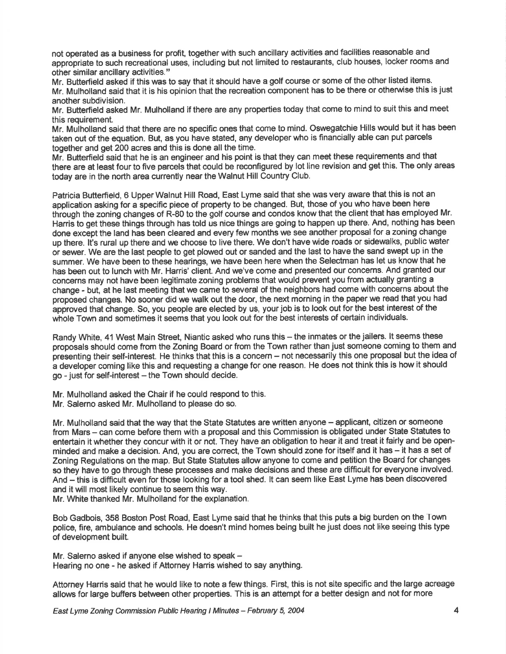not operated as a business for profit, together with such ancillary activities and facilities reasonable and appropriate to such recreational uses, including but not limited to restaurants, club houses, locker rooms and other similar ancillary activities."

Mr. Butterfield asked if this was to say that it should have a golf course or some of the other listed items. Mr. Mulholland said that it is his opinion that the recreation component has to be there or otherwise this is just another subdivision.

Mr. Butterfield asked Mr. Mulholland if there are any properties today that come to mind to suit this and meet this requirement.

Mr. Mulholland said that there are no specific ones that come to mind. Oswegatchie Hills would but it has been taken out of the equation. But, as you have stated, any developer who is financially able can put parcels together and get 200 acres and this is done all the time.

Mr. Butterfield said that he is an engineer and his point is that they can meet these requirements and that there are at least four to five parcels that could be reconfigured by lot line revision and get this. The only areas today are in the north area currently near the Walnut Hill Country Club.

Patricia Butterfield, 6 Upper Walnut Hill Road, East Lyme said that she was very aware that this is not an application asking for a specific piece of property to be changed. But, those of you who have been here through the zoning changes of R-80 to the golf course and condos know that the client that has employed Mr. Harris to get these things through has told us nice things are going to happen up there. And, nothing has been done except the land has been cleared and every few months we see another proposal for a zoning change up there. It's rural up there and we choose to live there. We don't have wide roads or sidewalks, public water or sewer. We are the last people to get plowed out or sanded and the last to have the sand swept up in the summer. We have been to these hearings, we have been here when the Selectman has let us know that he has been out to lunch with Mr. Harris' client. And we've come and presented our concerns. And granted our concerns may not have been legitimate zoning problems that would prevent you from actually granting a change - but, at he last meeting that we came to several of the neighbors had come with concerns about the proposed changes. No sooner did we walk out the door, the next morning in the paper we read that you had approved that change. So, you people are elected by us, your job is to look out for the best interest of the whole Town and sometimes it seems that you look out for the best interests of certain individuals.

Randy White, 41 West Main Street, Niantic asked who runs this - the inmates or the jailers. It seems these proposals should come from the Zoning Board or from the Town rather than just someone coming to them and presenting their self-interest. He thinks that this is a concern - not necessarily this one proposal but the idea of a developer coming like this and requesting a change for one reason. He does not think this is how it should  $go - just for self-interest - the Town should decide.$ 

Mr. Mulholland asked the Chair if he could respond to this.

Mr. Salerno asked Mr. Mulholland to please do so.

Mr. Mulholland said that the way that the State Statutes are written anyone – applicant, citizen or someone from Mars – can come before them with a proposal and this Commission is obligated under State Statutes to entertain it whether they concur with it or not. They have an obligation to hear it and treat it fairly and be openminded and make a decision. And, you are correct, the Town should zone for itself and it has - it has a set of Zoning Regulations on the map. But State Statutes allow anyone to come and petition the Board for changes so they have to go through these processes and make decisions and these are difficult for everyone involved. And – this is difficult even for those looking for a tool shed. It can seem like East Lyme has been discovered and it will most likely continue to seem this way.

Mr. White thanked Mr. Mulholland for the explanation.

Bob Gadbois, 358 Boston Post Road, East Lyme said that he thinks that this puts a big burden on the Town police, fire, ambulance and schools. He doesn't mind homes being built he just does not like seeing this type of development built.

Mr. Salerno asked if anyone else wished to speak -Hearing no one - he asked if Attorney Harris wished to say anything.

Attorney Harris said that he would like to note a few things. First, this is not site specific and the large acreage allovvs for large buffers between other properties. This is an attempt for a better design and not for more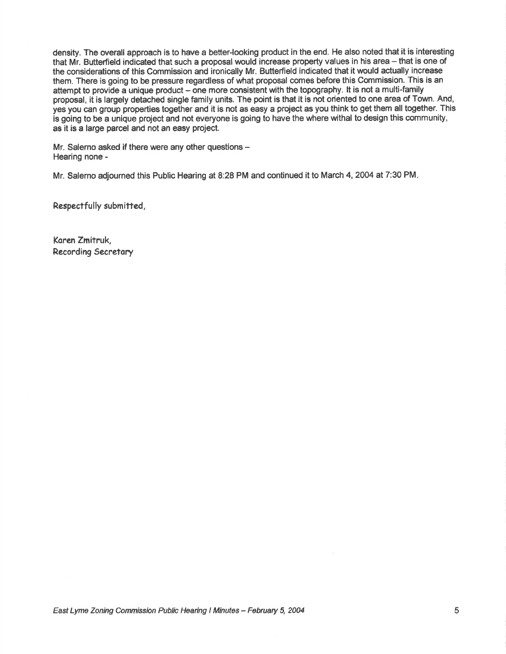density. The overall approach is to have a better-looking product in the end. He also noted that it is interesting that Mr. Butterfield indicated that such a proposal would increase property values in his area - that is one of the considerations of this Commission and ironically Mr. Butterfield indicated that it would actually increase them. There is going to be pressure regardless of what proposal comes before this Commission. This is an attempt to provide a unique product - one more consistent with the topography. It is not a multi-family proposal, it is largely detached single family units. The point is that it is not oriented to one area of Town. And, yes you can group properties together and it is not as easy a project as you think to get them all together. This is going to be a unique project and not everyone is going to have the where withal to design this community, as it is a large parcel and not an easy project.

Mr. Salerno asked if there were any other questions -Hearing none -

Mr. Salerno adjourned this Public Hearing at 8:28 PM and continued it to March 4, 2004 at 7:30 PM.

Respectfully submitted,

Koren Zmitruk, Recording Secretory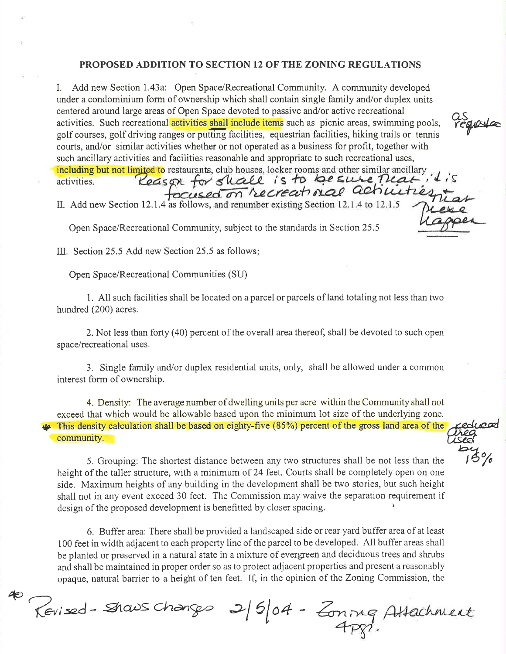## PROPOSED ADDITION TO SECTION 12 OF THE ZONING REGULATIONS

I. Add new Section L43a: Open Space/Recreational Community. A community developed under a condominium form of ownership which shall contain single family and/or duplex units centered around large areas of Open Space devoted to passive and/or active recreational activities. Such recreational activities shall include items such as picnic areas, swimming pools, golf courses, golf driving ranges or putting facilities, equestrian facilities, hiking trails or tennis courts, and/or similar activities whether or not operated as a business for profit, together with such ancillary activities and facilities reasonable and appropriate to such recreational uses,

 $\alpha$ s<br>régiostas

edroa

 $15%$ 

 $\triangleright$ 

including but not limited to r<br>activities.

II. Add new Section 12.1.4 as follows,

Open Space/Recreational Community, subject to the standards in Section 25.5

III. Section 25.5 Add new Section25.5 as follows

Open Space/Recreational Communities (SU)

1. All such facilities shall be located on a parcel or parcels of land totaling not less than two hundred (200) acres.

2. Not less than forty (40) percent of the overall area thereof, shall be devoted to such open space/recreational uses.

3. Single family and/or duplex residential units, only, shall be allowed under a common interest form of ownership.

4. Density: The average number of dwelling units per acre within the Community shall not exceed that which would be allowable based upon the minimum lot size of the underlying zone. This density calculation shall be based on eighty-five (85%) percent of the gross land area of the community.

5. Grouping: The shortest distance between any two structures shall be not less than the height of the taller structure, with a minimum of 24 feet. Courts shall be completely open on one side. Maximum heights of any building in the development shall be two stories, but such height shall not in any event exceed 30 feet. The Commission may waive the separation requirement if design of the proposed development is benefitted by closer spacing.

6. Buffer area: There shall be provided a landscaped side or rear yard buffer area of at least <sup>100</sup>feet in width adjacent to each property line of the parcel to be developed. All buffer areas shall be planted or preserved in a natural state in a mixture of evergreen and deciduous trees and shrubs and shall be maintained in proper order so as to protect adjacent properties and present a reasonably opaque, natural barrier to a height of ten feet. If, in the opinion of the Zoning Commission, the

@  $\pi$ evised-Shaws Changes 2/5/04 - Zoning Attachment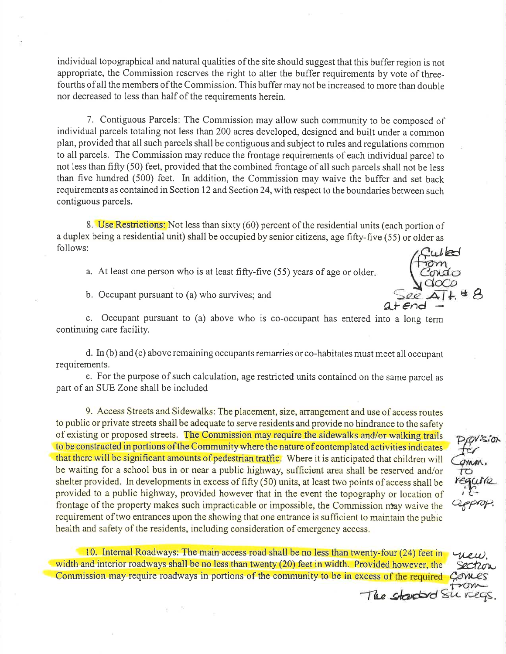individual topographical and natural qualities of the site should suggest that this buffer region is not appropriate, the Commission reserves the right to alter the buffer requirements by vote of threefourths of all the members of the Commission. This buffer may not be increased to more than double nor decreased to less than half of the requirements herein.

7. Contiguous Parcels: The Commission may allow such community to be composed of individual parcels totaling not less than 200 acres developed, designed and built under a common plan, provided that all such parcels shall be contiguous and subject to rules and regulations common to all parcels. The Commission may reduce the frontage requirements of each individual parcel to not less than fifty (50) feet, provided that the combined frontage of all such parcels shall not be less than five hundred (500) feet. ln addition, the Commission may waive the buffer and set back requirements as contained in Section 12 and Section 24, with respect to the boundaries between such contiguous parcels.

8. Use Restrictions: Not less than sixty (60) percent of the residential units (each portion of a duplex being a residential unit) shall be occupied by senior citizens, age fifty-five (55) or older as follows:

a. At least one person who is at least fifty-five (55) years of age or older

b. Occupant pursuant to  $(a)$  who survives; and

kd \*  $a$ t $end$  $\beta$ 

c. Occupant pursuant to (a) above who is co-occupant has entered into a long term continuing care facility.

d. In (b) and (c) above remaining occupants remarries or co-habitates must meet all occupant requirements.

e. For the purpose of such calculation, age restricted units contained on the same parcel as part of an SUE Zone shall be included

9. Access Streets and Sidewalks: The placement, size, arrangement and use of access routes to public or private streets shall be adequate to serve residents and provide no hindrance to the safety of existing or proposed streets. The Commission may require the sidewalks and/or walking trails to be constructed in portions of the Community where the nature of contemplated activities indicates that there will be significant amounts of pedestrian traffic. Where it is anticipated that children will be waiting for a school bus in or near a public highway, sufficient area shall be reserved and/or shelter provided. ln developments in excess of fifty (50) units, at least two points of access shall be provided to a public highway, provided however that in the event the topography or location of frontage of the property makes such impracticable or impossible, the Commission nay waive the requirement of two entrances upon the showing that one entrance is sufficient to maintain the pubic health and safety of the residents, including consideration of emergency access.

ppvis.ion<br>fe*r* Tomm.<br>To<br>requin rts approx.

The started Surveys.

10. Internal Roadways: The main access road shall be no less than fwenty-four (24) feet in width and interior roadways shall be no less than twenty (20) feet in width. Provided however, the -lk-u),  $202$ Commission may require roadways in portions of the community to be in excess of the required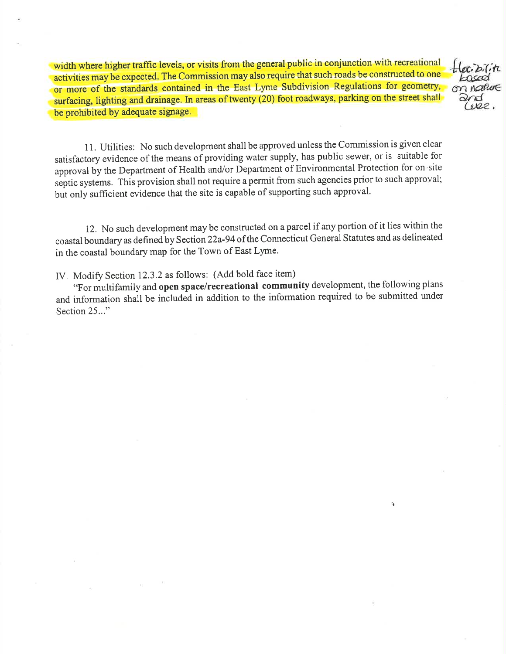width where higher traffic levels, or visits from the general public in conjunction with recreational activities may be expected. The Commission may also require that such roads be constructed to one or more of the standards contained in the East Lyme Subdivision Regulations for geometry, surfacing, lighting and drainage. ln areas of twenty (20) foot roadways, parking on the street shall be prohibited by adequate signage.

 $h$ on nature<br>Prod<br>Celee.

 $\mathbf{r}_\mathbf{a}$ 

<sup>I</sup>1. Utilities: No such development shall be approved unless the Commission is given clear satisfactory evidence of the means of providing water supply, has public sewer, or is suitable for approval by the Department of Health and/or Department of Environmental Protection for on-site septic systems. This provision shall not require a permit from such agencies prior to such approval; bui only sufficient evidence that the site is capable of supporting such approval.

12. No such development may be constructed on a parcel if any portion of it lies within the coastal boundary as defined by Section 22a-94of the Connecticut General Statutes and as delineated in the coastal boundary map for the Town of East Lyme.

IV, Modify Section 12.3.2 as follows: (Add bold face item)

"For multifamily and open space/recreational community development, the following plans and information shall be included in addition to the information required to be submitted under Section 25..."